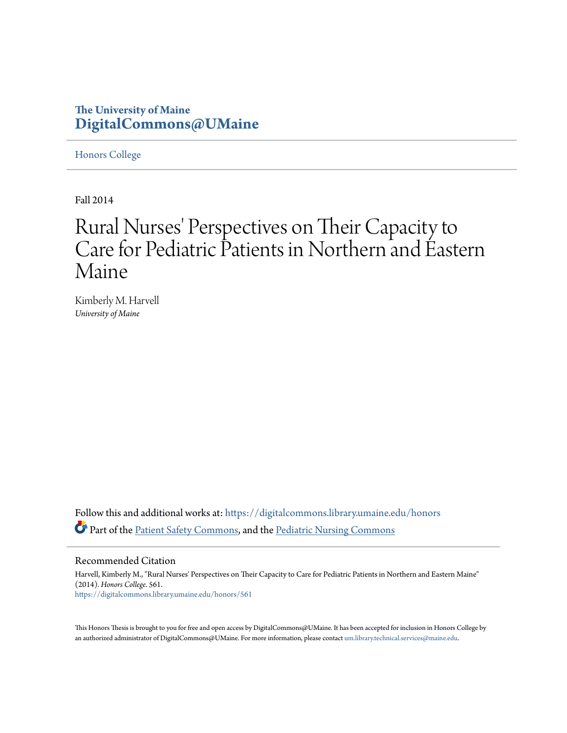## **The University of Maine [DigitalCommons@UMaine](https://digitalcommons.library.umaine.edu?utm_source=digitalcommons.library.umaine.edu%2Fhonors%2F561&utm_medium=PDF&utm_campaign=PDFCoverPages)**

[Honors College](https://digitalcommons.library.umaine.edu/honors?utm_source=digitalcommons.library.umaine.edu%2Fhonors%2F561&utm_medium=PDF&utm_campaign=PDFCoverPages)

Fall 2014

# Rural Nurses' Perspectives on Their Capacity to Care for Pediatric Patients in Northern and Eastern Maine

Kimberly M. Harvell *University of Maine*

Follow this and additional works at: [https://digitalcommons.library.umaine.edu/honors](https://digitalcommons.library.umaine.edu/honors?utm_source=digitalcommons.library.umaine.edu%2Fhonors%2F561&utm_medium=PDF&utm_campaign=PDFCoverPages) Part of the [Patient Safety Commons](http://network.bepress.com/hgg/discipline/1410?utm_source=digitalcommons.library.umaine.edu%2Fhonors%2F561&utm_medium=PDF&utm_campaign=PDFCoverPages), and the [Pediatric Nursing Commons](http://network.bepress.com/hgg/discipline/723?utm_source=digitalcommons.library.umaine.edu%2Fhonors%2F561&utm_medium=PDF&utm_campaign=PDFCoverPages)

Recommended Citation

Harvell, Kimberly M., "Rural Nurses' Perspectives on Their Capacity to Care for Pediatric Patients in Northern and Eastern Maine" (2014). *Honors College*. 561. [https://digitalcommons.library.umaine.edu/honors/561](https://digitalcommons.library.umaine.edu/honors/561?utm_source=digitalcommons.library.umaine.edu%2Fhonors%2F561&utm_medium=PDF&utm_campaign=PDFCoverPages)

This Honors Thesis is brought to you for free and open access by DigitalCommons@UMaine. It has been accepted for inclusion in Honors College by an authorized administrator of DigitalCommons@UMaine. For more information, please contact [um.library.technical.services@maine.edu](mailto:um.library.technical.services@maine.edu).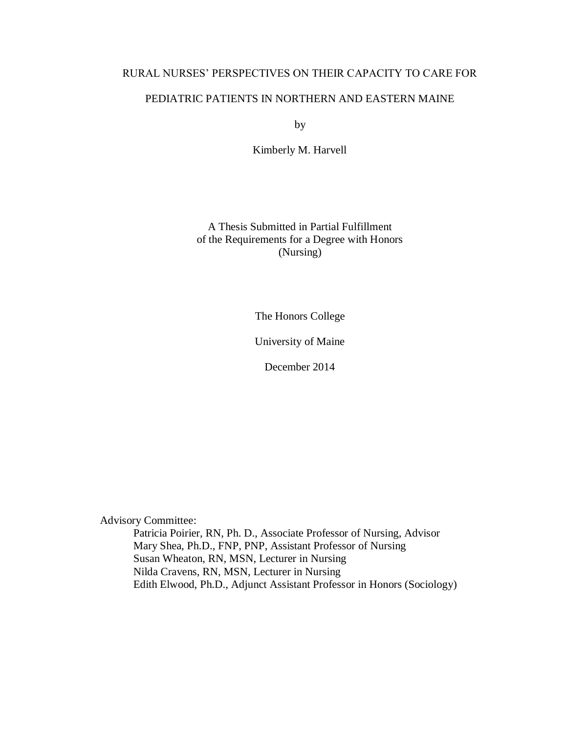## RURAL NURSES' PERSPECTIVES ON THEIR CAPACITY TO CARE FOR

## PEDIATRIC PATIENTS IN NORTHERN AND EASTERN MAINE

by

Kimberly M. Harvell

A Thesis Submitted in Partial Fulfillment of the Requirements for a Degree with Honors (Nursing)

The Honors College

University of Maine

December 2014

Advisory Committee:

Patricia Poirier, RN, Ph. D., Associate Professor of Nursing, Advisor Mary Shea, Ph.D., FNP, PNP, Assistant Professor of Nursing Susan Wheaton, RN, MSN, Lecturer in Nursing Nilda Cravens, RN, MSN, Lecturer in Nursing Edith Elwood, Ph.D., Adjunct Assistant Professor in Honors (Sociology)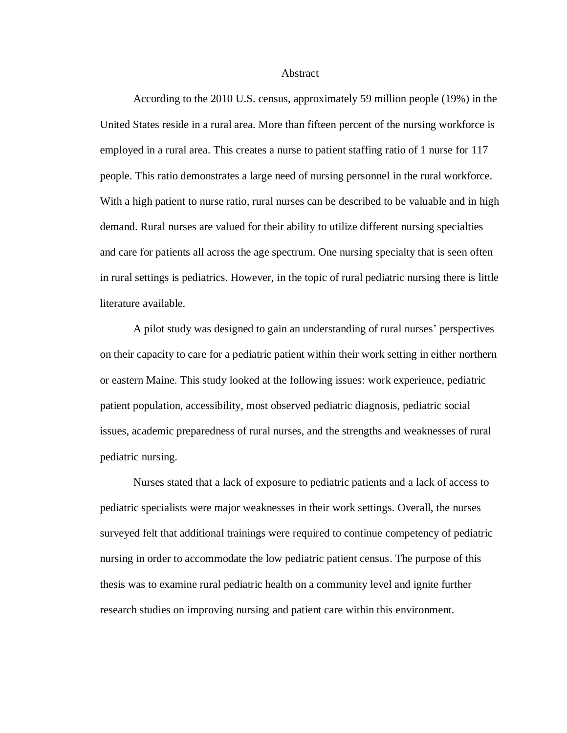#### **Abstract**

According to the 2010 U.S. census, approximately 59 million people (19%) in the United States reside in a rural area. More than fifteen percent of the nursing workforce is employed in a rural area. This creates a nurse to patient staffing ratio of 1 nurse for 117 people. This ratio demonstrates a large need of nursing personnel in the rural workforce. With a high patient to nurse ratio, rural nurses can be described to be valuable and in high demand. Rural nurses are valued for their ability to utilize different nursing specialties and care for patients all across the age spectrum. One nursing specialty that is seen often in rural settings is pediatrics. However, in the topic of rural pediatric nursing there is little literature available.

A pilot study was designed to gain an understanding of rural nurses' perspectives on their capacity to care for a pediatric patient within their work setting in either northern or eastern Maine. This study looked at the following issues: work experience, pediatric patient population, accessibility, most observed pediatric diagnosis, pediatric social issues, academic preparedness of rural nurses, and the strengths and weaknesses of rural pediatric nursing.

Nurses stated that a lack of exposure to pediatric patients and a lack of access to pediatric specialists were major weaknesses in their work settings. Overall, the nurses surveyed felt that additional trainings were required to continue competency of pediatric nursing in order to accommodate the low pediatric patient census. The purpose of this thesis was to examine rural pediatric health on a community level and ignite further research studies on improving nursing and patient care within this environment.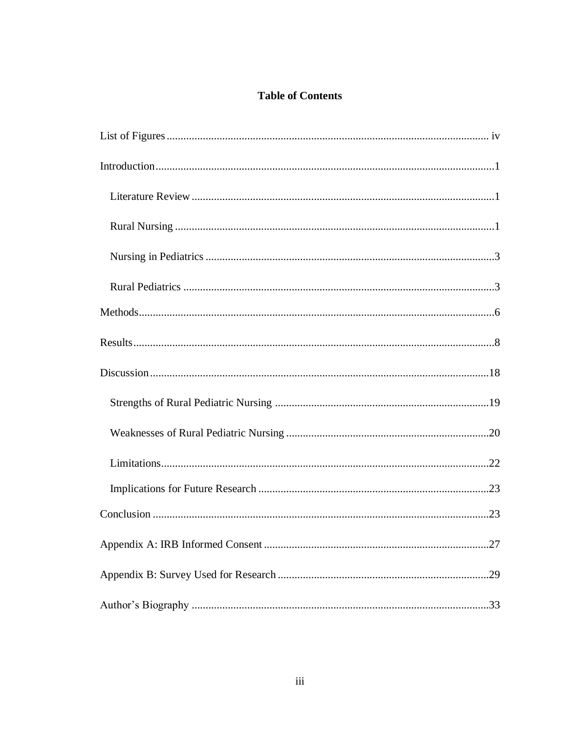## **Table of Contents**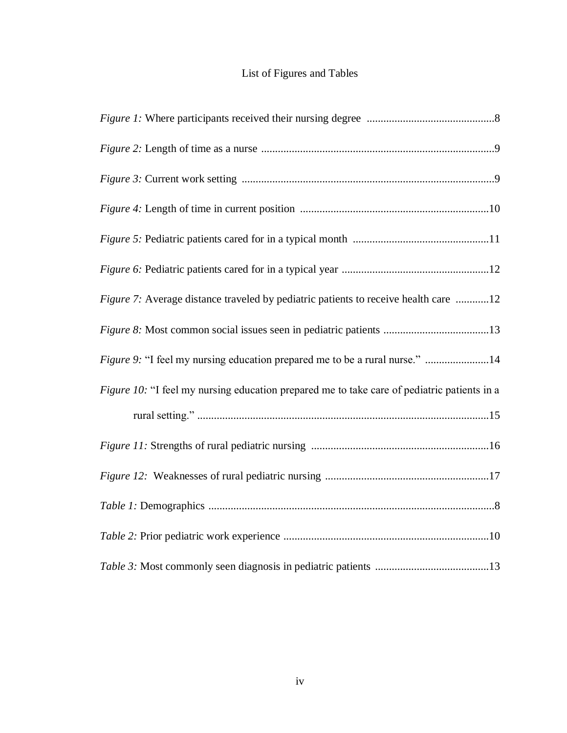# List of Figures and Tables

| Figure 7: Average distance traveled by pediatric patients to receive health care 12         |
|---------------------------------------------------------------------------------------------|
|                                                                                             |
| Figure 9: "I feel my nursing education prepared me to be a rural nurse." 14                 |
| Figure 10: "I feel my nursing education prepared me to take care of pediatric patients in a |
|                                                                                             |
|                                                                                             |
|                                                                                             |
|                                                                                             |
|                                                                                             |
|                                                                                             |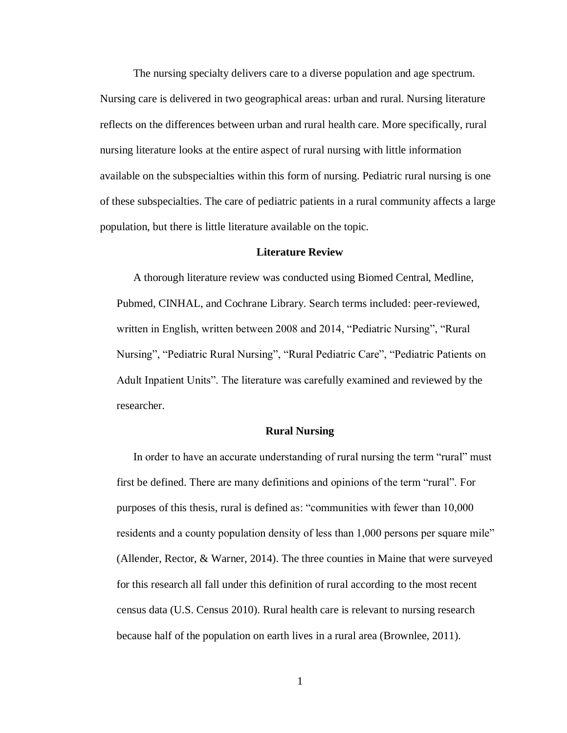The nursing specialty delivers care to a diverse population and age spectrum. Nursing care is delivered in two geographical areas: urban and rural. Nursing literature reflects on the differences between urban and rural health care. More specifically, rural nursing literature looks at the entire aspect of rural nursing with little information available on the subspecialties within this form of nursing. Pediatric rural nursing is one of these subspecialties. The care of pediatric patients in a rural community affects a large population, but there is little literature available on the topic.

#### **Literature Review**

A thorough literature review was conducted using Biomed Central, Medline, Pubmed, CINHAL, and Cochrane Library. Search terms included: peer-reviewed, written in English, written between 2008 and 2014, "Pediatric Nursing", "Rural Nursing", "Pediatric Rural Nursing", "Rural Pediatric Care", "Pediatric Patients on Adult Inpatient Units". The literature was carefully examined and reviewed by the researcher.

#### **Rural Nursing**

In order to have an accurate understanding of rural nursing the term "rural" must first be defined. There are many definitions and opinions of the term "rural". For purposes of this thesis, rural is defined as: "communities with fewer than 10,000 residents and a county population density of less than 1,000 persons per square mile" (Allender, Rector, & Warner, 2014). The three counties in Maine that were surveyed for this research all fall under this definition of rural according to the most recent census data (U.S. Census 2010). Rural health care is relevant to nursing research because half of the population on earth lives in a rural area (Brownlee, 2011).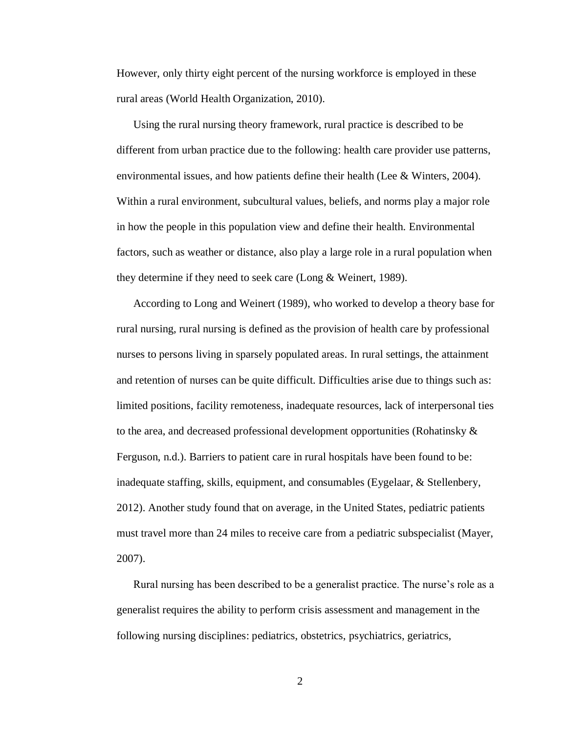However, only thirty eight percent of the nursing workforce is employed in these rural areas (World Health Organization, 2010).

Using the rural nursing theory framework, rural practice is described to be different from urban practice due to the following: health care provider use patterns, environmental issues, and how patients define their health (Lee & Winters, 2004). Within a rural environment, subcultural values, beliefs, and norms play a major role in how the people in this population view and define their health. Environmental factors, such as weather or distance, also play a large role in a rural population when they determine if they need to seek care (Long & Weinert, 1989).

According to Long and Weinert (1989), who worked to develop a theory base for rural nursing, rural nursing is defined as the provision of health care by professional nurses to persons living in sparsely populated areas. In rural settings, the attainment and retention of nurses can be quite difficult. Difficulties arise due to things such as: limited positions, facility remoteness, inadequate resources, lack of interpersonal ties to the area, and decreased professional development opportunities (Rohatinsky & Ferguson, n.d.). Barriers to patient care in rural hospitals have been found to be: inadequate staffing, skills, equipment, and consumables (Eygelaar, & Stellenbery, 2012). Another study found that on average, in the United States, pediatric patients must travel more than 24 miles to receive care from a pediatric subspecialist (Mayer, 2007).

Rural nursing has been described to be a generalist practice. The nurse's role as a generalist requires the ability to perform crisis assessment and management in the following nursing disciplines: pediatrics, obstetrics, psychiatrics, geriatrics,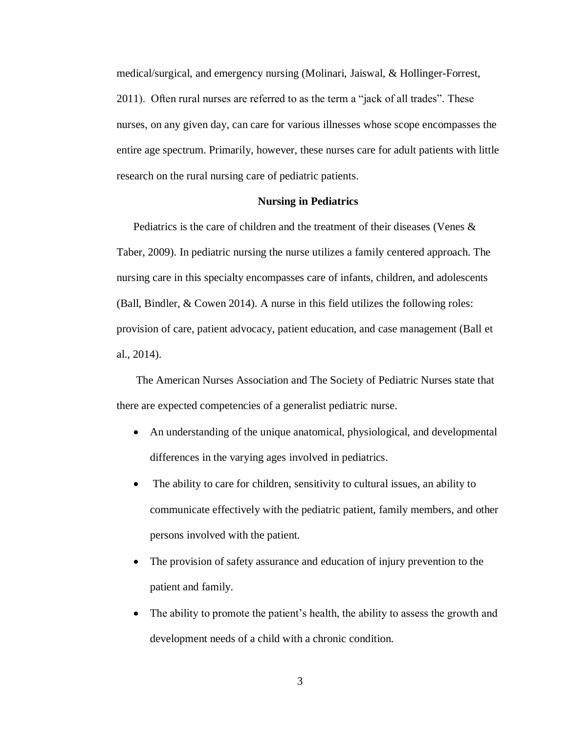medical/surgical, and emergency nursing (Molinari, Jaiswal, & Hollinger-Forrest, 2011). Often rural nurses are referred to as the term a "jack of all trades". These nurses, on any given day, can care for various illnesses whose scope encompasses the entire age spectrum. Primarily, however, these nurses care for adult patients with little research on the rural nursing care of pediatric patients.

### **Nursing in Pediatrics**

Pediatrics is the care of children and the treatment of their diseases (Venes & Taber, 2009). In pediatric nursing the nurse utilizes a family centered approach. The nursing care in this specialty encompasses care of infants, children, and adolescents (Ball, Bindler, & Cowen 2014). A nurse in this field utilizes the following roles: provision of care, patient advocacy, patient education, and case management (Ball et al., 2014).

The American Nurses Association and The Society of Pediatric Nurses state that there are expected competencies of a generalist pediatric nurse.

- An understanding of the unique anatomical, physiological, and developmental differences in the varying ages involved in pediatrics.
- The ability to care for children, sensitivity to cultural issues, an ability to communicate effectively with the pediatric patient, family members, and other persons involved with the patient.
- The provision of safety assurance and education of injury prevention to the patient and family.
- The ability to promote the patient's health, the ability to assess the growth and development needs of a child with a chronic condition.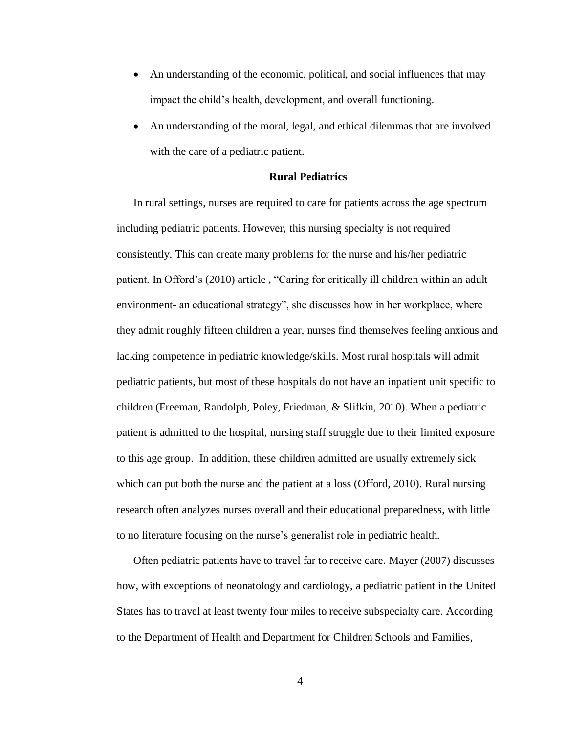- An understanding of the economic, political, and social influences that may impact the child's health, development, and overall functioning.
- An understanding of the moral, legal, and ethical dilemmas that are involved with the care of a pediatric patient.

## **Rural Pediatrics**

In rural settings, nurses are required to care for patients across the age spectrum including pediatric patients. However, this nursing specialty is not required consistently. This can create many problems for the nurse and his/her pediatric patient. In Offord's (2010) article, "Caring for critically ill children within an adult environment- an educational strategy", she discusses how in her workplace, where they admit roughly fifteen children a year, nurses find themselves feeling anxious and lacking competence in pediatric knowledge/skills. Most rural hospitals will admit pediatric patients, but most of these hospitals do not have an inpatient unit specific to children (Freeman, Randolph, Poley, Friedman, & Slifkin, 2010). When a pediatric patient is admitted to the hospital, nursing staff struggle due to their limited exposure to this age group. In addition, these children admitted are usually extremely sick which can put both the nurse and the patient at a loss (Offord, 2010). Rural nursing research often analyzes nurses overall and their educational preparedness, with little to no literature focusing on the nurse's generalist role in pediatric health.

Often pediatric patients have to travel far to receive care. Mayer (2007) discusses how, with exceptions of neonatology and cardiology, a pediatric patient in the United States has to travel at least twenty four miles to receive subspecialty care. According to the Department of Health and Department for Children Schools and Families,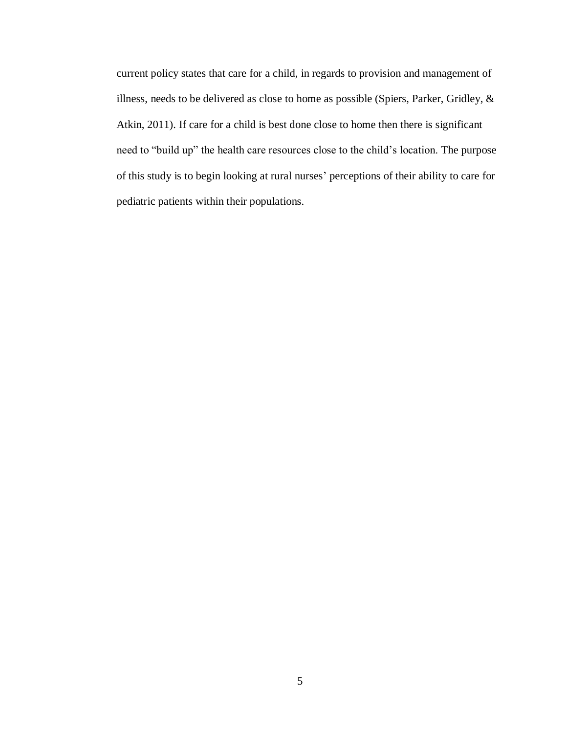current policy states that care for a child, in regards to provision and management of illness, needs to be delivered as close to home as possible (Spiers, Parker, Gridley, & Atkin, 2011). If care for a child is best done close to home then there is significant need to "build up" the health care resources close to the child's location. The purpose of this study is to begin looking at rural nurses' perceptions of their ability to care for pediatric patients within their populations.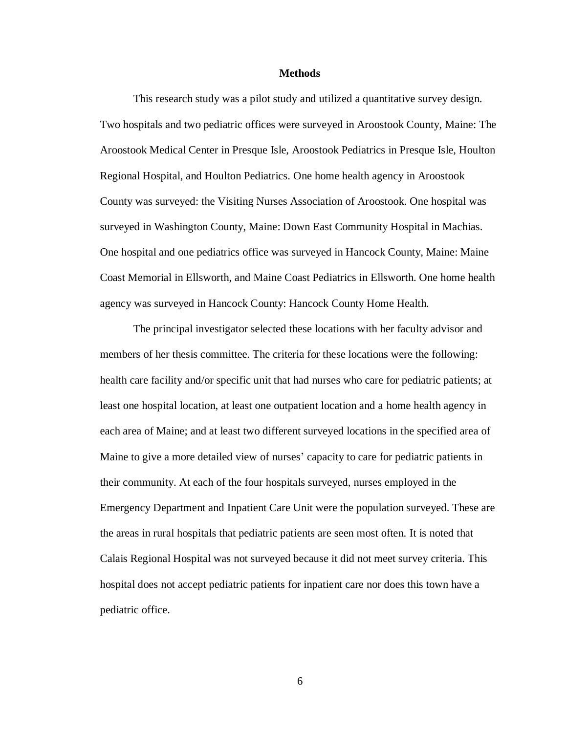#### **Methods**

This research study was a pilot study and utilized a quantitative survey design. Two hospitals and two pediatric offices were surveyed in Aroostook County, Maine: The Aroostook Medical Center in Presque Isle, Aroostook Pediatrics in Presque Isle, Houlton Regional Hospital, and Houlton Pediatrics. One home health agency in Aroostook County was surveyed: the Visiting Nurses Association of Aroostook. One hospital was surveyed in Washington County, Maine: Down East Community Hospital in Machias. One hospital and one pediatrics office was surveyed in Hancock County, Maine: Maine Coast Memorial in Ellsworth, and Maine Coast Pediatrics in Ellsworth. One home health agency was surveyed in Hancock County: Hancock County Home Health.

The principal investigator selected these locations with her faculty advisor and members of her thesis committee. The criteria for these locations were the following: health care facility and/or specific unit that had nurses who care for pediatric patients; at least one hospital location, at least one outpatient location and a home health agency in each area of Maine; and at least two different surveyed locations in the specified area of Maine to give a more detailed view of nurses' capacity to care for pediatric patients in their community. At each of the four hospitals surveyed, nurses employed in the Emergency Department and Inpatient Care Unit were the population surveyed. These are the areas in rural hospitals that pediatric patients are seen most often. It is noted that Calais Regional Hospital was not surveyed because it did not meet survey criteria. This hospital does not accept pediatric patients for inpatient care nor does this town have a pediatric office.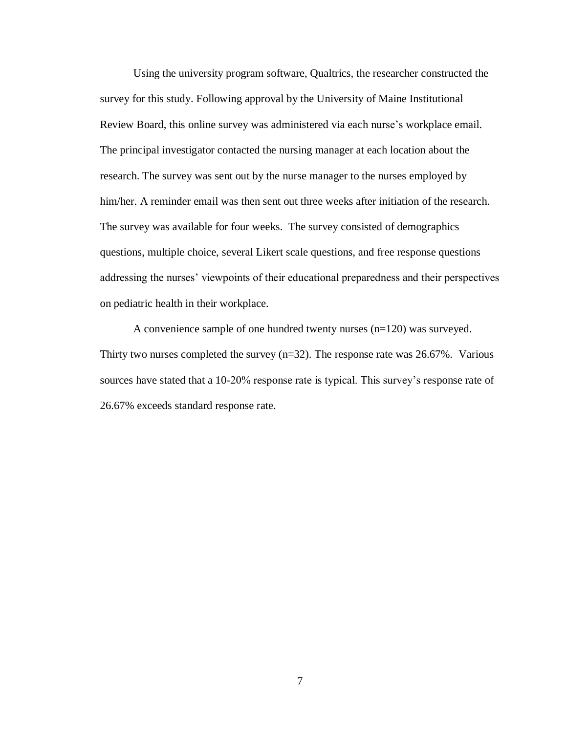Using the university program software, Qualtrics, the researcher constructed the survey for this study. Following approval by the University of Maine Institutional Review Board, this online survey was administered via each nurse's workplace email. The principal investigator contacted the nursing manager at each location about the research. The survey was sent out by the nurse manager to the nurses employed by him/her. A reminder email was then sent out three weeks after initiation of the research. The survey was available for four weeks. The survey consisted of demographics questions, multiple choice, several Likert scale questions, and free response questions addressing the nurses' viewpoints of their educational preparedness and their perspectives on pediatric health in their workplace.

A convenience sample of one hundred twenty nurses (n=120) was surveyed. Thirty two nurses completed the survey  $(n=32)$ . The response rate was 26.67%. Various sources have stated that a 10-20% response rate is typical. This survey's response rate of 26.67% exceeds standard response rate.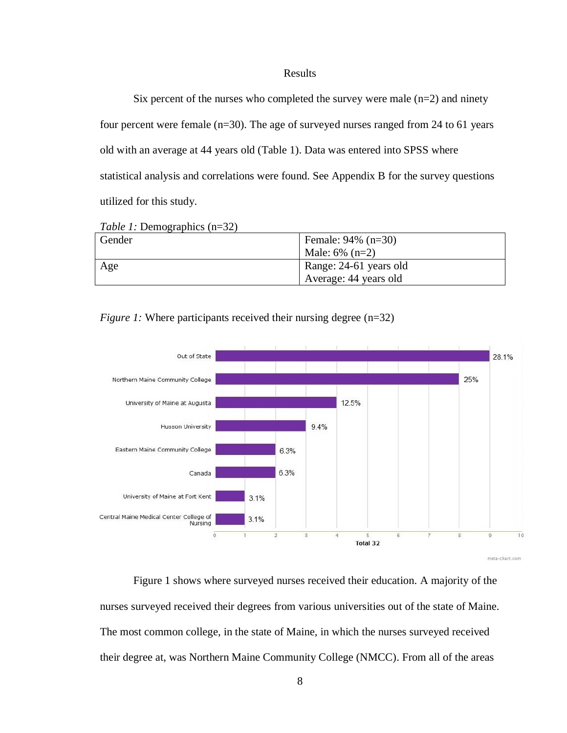## Results

Six percent of the nurses who completed the survey were male  $(n=2)$  and ninety four percent were female (n=30). The age of surveyed nurses ranged from 24 to 61 years old with an average at 44 years old (Table 1). Data was entered into SPSS where statistical analysis and correlations were found. See Appendix B for the survey questions utilized for this study.

| Gender | Female: $94\%$ (n=30)  |
|--------|------------------------|
|        | Male: $6\%$ (n=2)      |
| Age    | Range: 24-61 years old |
|        | Average: 44 years old  |



*Figure 1:* Where participants received their nursing degree (n=32)

Figure 1 shows where surveyed nurses received their education. A majority of the nurses surveyed received their degrees from various universities out of the state of Maine. The most common college, in the state of Maine, in which the nurses surveyed received their degree at, was Northern Maine Community College (NMCC). From all of the areas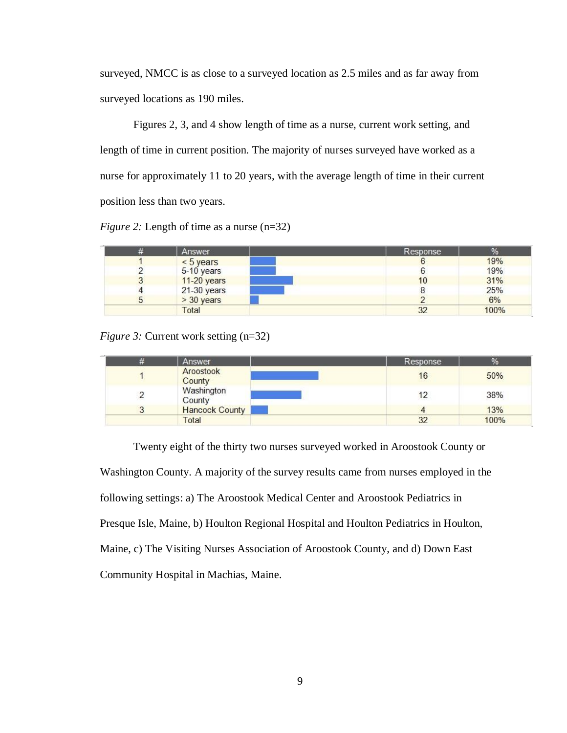surveyed, NMCC is as close to a surveyed location as 2.5 miles and as far away from surveyed locations as 190 miles.

Figures 2, 3, and 4 show length of time as a nurse, current work setting, and length of time in current position. The majority of nurses surveyed have worked as a nurse for approximately 11 to 20 years, with the average length of time in their current position less than two years.

*Figure 2:* Length of time as a nurse (n=32)

| Answer        | Response | %    |
|---------------|----------|------|
| $< 5$ years   |          | 19%  |
| 5-10 years    |          | 19%  |
| 11-20 years   | 10       | 31%  |
| $21-30$ years |          | 25%  |
| $> 30$ years  |          | 6%   |
| Total         | 32       | 100% |

*Figure 3:* Current work setting (n=32)

| Answer                | Response | %    |
|-----------------------|----------|------|
| Aroostook<br>County   | 16       | 50%  |
| Washington<br>County  |          | 38%  |
| <b>Hancock County</b> |          | 13%  |
| Total                 | 32       | 100% |

Twenty eight of the thirty two nurses surveyed worked in Aroostook County or Washington County. A majority of the survey results came from nurses employed in the following settings: a) The Aroostook Medical Center and Aroostook Pediatrics in Presque Isle, Maine, b) Houlton Regional Hospital and Houlton Pediatrics in Houlton, Maine, c) The Visiting Nurses Association of Aroostook County, and d) Down East Community Hospital in Machias, Maine.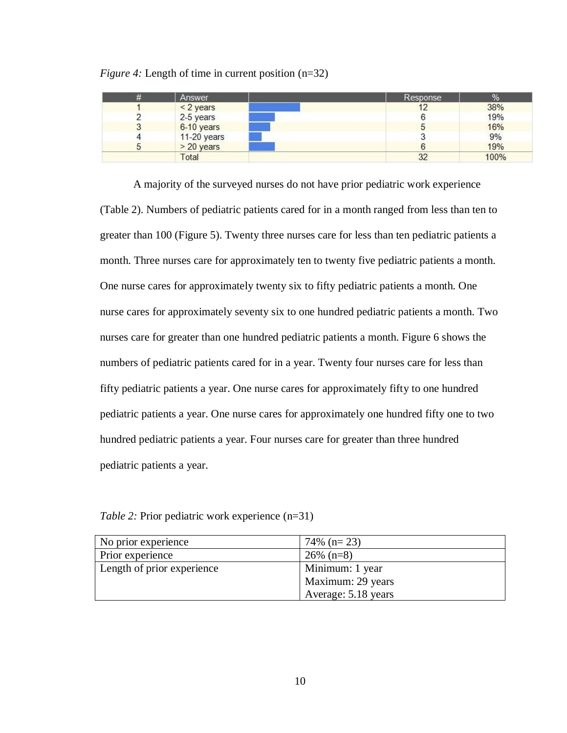| # | Answer       | Response | %    |
|---|--------------|----------|------|
|   | $<$ 2 years  | 12       | 38%  |
|   | 2-5 years    |          | 19%  |
|   | 6-10 years   |          | 16%  |
|   | 11-20 years  |          | 9%   |
| ັ | $>$ 20 years |          | 19%  |
|   | Total        | 32       | 100% |

*Figure 4:* Length of time in current position (n=32)

A majority of the surveyed nurses do not have prior pediatric work experience (Table 2). Numbers of pediatric patients cared for in a month ranged from less than ten to greater than 100 (Figure 5). Twenty three nurses care for less than ten pediatric patients a month. Three nurses care for approximately ten to twenty five pediatric patients a month. One nurse cares for approximately twenty six to fifty pediatric patients a month. One nurse cares for approximately seventy six to one hundred pediatric patients a month. Two nurses care for greater than one hundred pediatric patients a month. Figure 6 shows the numbers of pediatric patients cared for in a year. Twenty four nurses care for less than fifty pediatric patients a year. One nurse cares for approximately fifty to one hundred pediatric patients a year. One nurse cares for approximately one hundred fifty one to two hundred pediatric patients a year. Four nurses care for greater than three hundred pediatric patients a year.

*Table 2:* Prior pediatric work experience (n=31)

| No prior experience        | $74\%$ (n= 23)      |
|----------------------------|---------------------|
| Prior experience           | $26\%$ (n=8)        |
| Length of prior experience | Minimum: 1 year     |
|                            | Maximum: 29 years   |
|                            | Average: 5.18 years |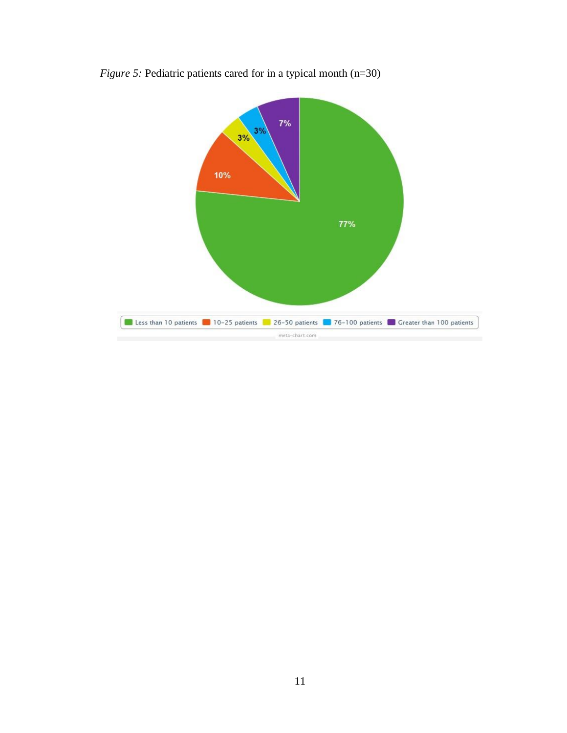

*Figure 5:* Pediatric patients cared for in a typical month (n=30)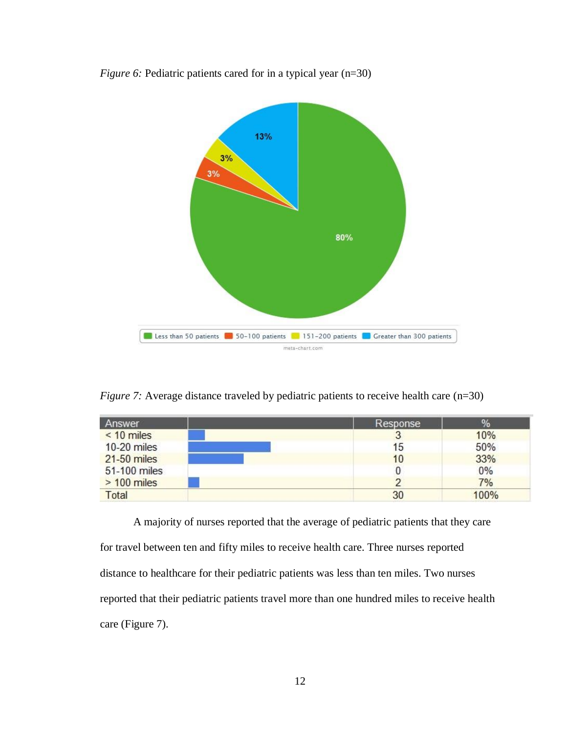

*Figure 6:* Pediatric patients cared for in a typical year (n=30)

*Figure 7:* Average distance traveled by pediatric patients to receive health care (n=30)

| Answer        | Response | ℅    |
|---------------|----------|------|
| $< 10$ miles  |          | 10%  |
| 10-20 miles   | 15       | 50%  |
| 21-50 miles   | 10       | 33%  |
| 51-100 miles  |          | 0%   |
| $> 100$ miles |          | 7%   |
| Total         | 30       | 100% |

A majority of nurses reported that the average of pediatric patients that they care for travel between ten and fifty miles to receive health care. Three nurses reported distance to healthcare for their pediatric patients was less than ten miles. Two nurses reported that their pediatric patients travel more than one hundred miles to receive health care (Figure 7).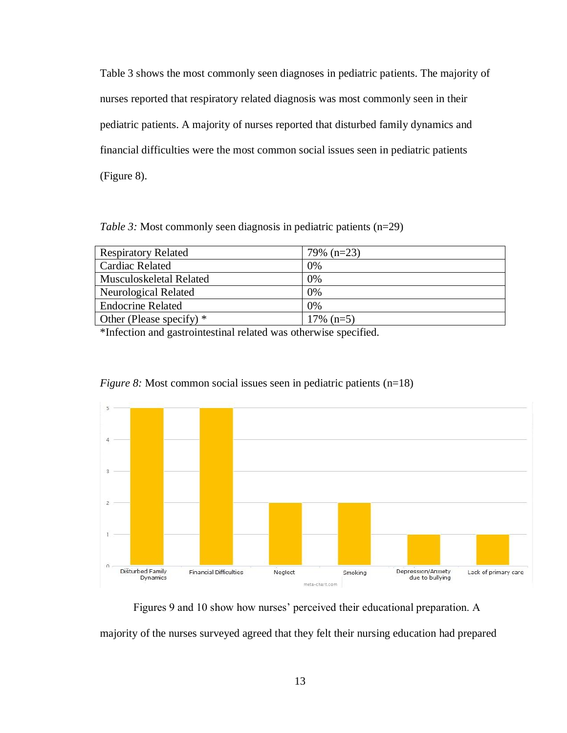Table 3 shows the most commonly seen diagnoses in pediatric patients. The majority of nurses reported that respiratory related diagnosis was most commonly seen in their pediatric patients. A majority of nurses reported that disturbed family dynamics and financial difficulties were the most common social issues seen in pediatric patients (Figure 8).

*Table 3:* Most commonly seen diagnosis in pediatric patients (n=29)

| <b>Respiratory Related</b> | $79\%$ (n=23) |
|----------------------------|---------------|
| Cardiac Related            | 0%            |
| Musculoskeletal Related    | 0%            |
| Neurological Related       | 0%            |
| <b>Endocrine Related</b>   | 0%            |
| Other (Please specify) $*$ | $17\%$ (n=5)  |

\*Infection and gastrointestinal related was otherwise specified.



*Figure 8:* Most common social issues seen in pediatric patients (n=18)

Figures 9 and 10 show how nurses' perceived their educational preparation. A majority of the nurses surveyed agreed that they felt their nursing education had prepared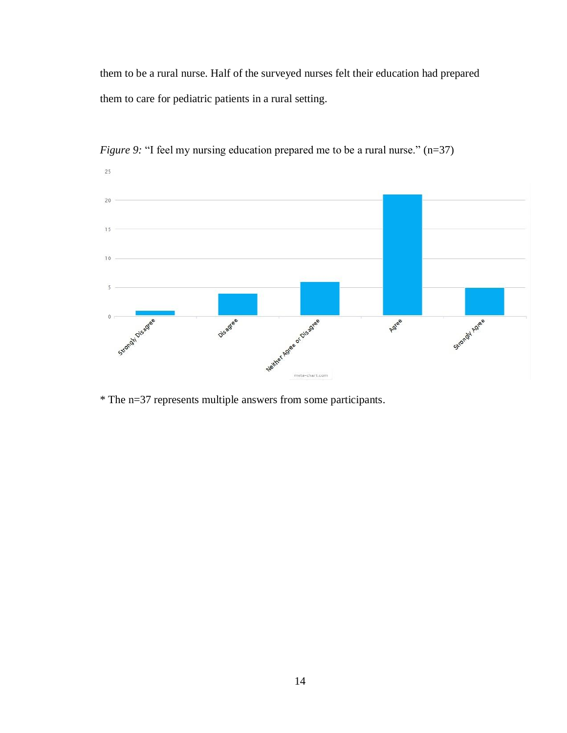them to be a rural nurse. Half of the surveyed nurses felt their education had prepared them to care for pediatric patients in a rural setting.



*Figure 9:* "I feel my nursing education prepared me to be a rural nurse." (n=37)

\* The n=37 represents multiple answers from some participants.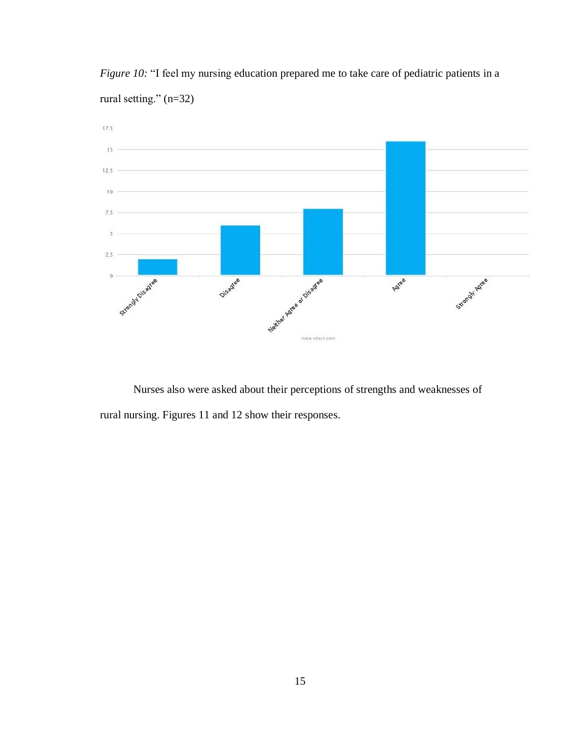

*Figure 10:* "I feel my nursing education prepared me to take care of pediatric patients in a rural setting." (n=32)

Nurses also were asked about their perceptions of strengths and weaknesses of rural nursing. Figures 11 and 12 show their responses.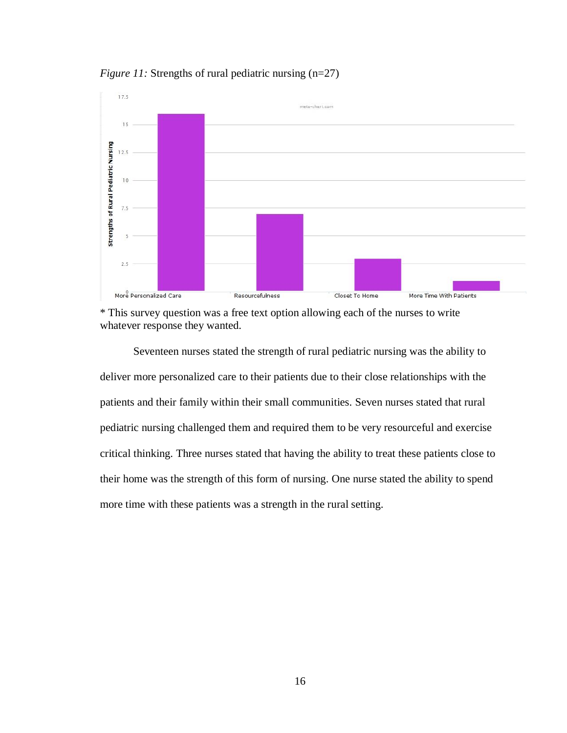*Figure 11:* Strengths of rural pediatric nursing (n=27)





Seventeen nurses stated the strength of rural pediatric nursing was the ability to deliver more personalized care to their patients due to their close relationships with the patients and their family within their small communities. Seven nurses stated that rural pediatric nursing challenged them and required them to be very resourceful and exercise critical thinking. Three nurses stated that having the ability to treat these patients close to their home was the strength of this form of nursing. One nurse stated the ability to spend more time with these patients was a strength in the rural setting.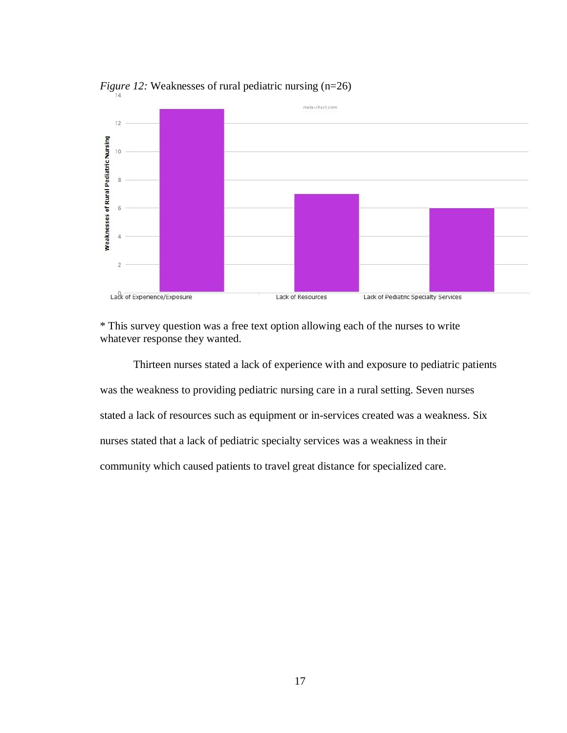

*Figure 12:* Weaknesses of rural pediatric nursing (n=26)

\* This survey question was a free text option allowing each of the nurses to write whatever response they wanted.

Thirteen nurses stated a lack of experience with and exposure to pediatric patients was the weakness to providing pediatric nursing care in a rural setting. Seven nurses stated a lack of resources such as equipment or in-services created was a weakness. Six nurses stated that a lack of pediatric specialty services was a weakness in their community which caused patients to travel great distance for specialized care.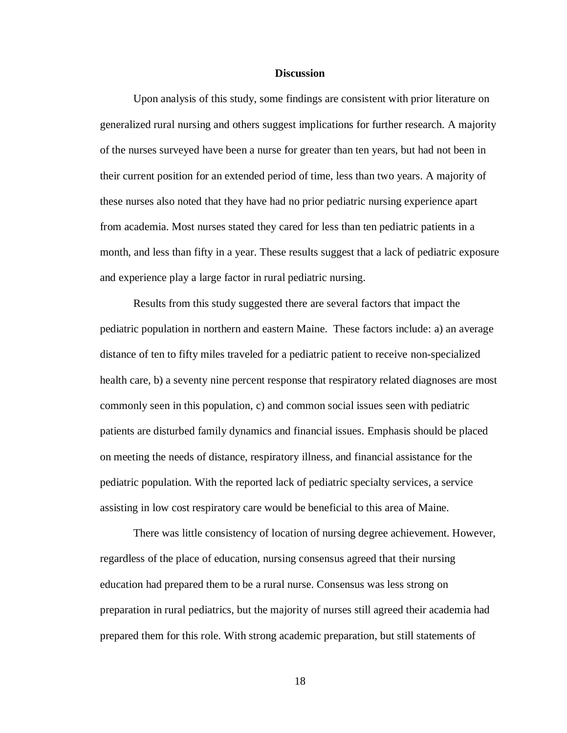#### **Discussion**

Upon analysis of this study, some findings are consistent with prior literature on generalized rural nursing and others suggest implications for further research. A majority of the nurses surveyed have been a nurse for greater than ten years, but had not been in their current position for an extended period of time, less than two years. A majority of these nurses also noted that they have had no prior pediatric nursing experience apart from academia. Most nurses stated they cared for less than ten pediatric patients in a month, and less than fifty in a year. These results suggest that a lack of pediatric exposure and experience play a large factor in rural pediatric nursing.

Results from this study suggested there are several factors that impact the pediatric population in northern and eastern Maine. These factors include: a) an average distance of ten to fifty miles traveled for a pediatric patient to receive non-specialized health care, b) a seventy nine percent response that respiratory related diagnoses are most commonly seen in this population, c) and common social issues seen with pediatric patients are disturbed family dynamics and financial issues. Emphasis should be placed on meeting the needs of distance, respiratory illness, and financial assistance for the pediatric population. With the reported lack of pediatric specialty services, a service assisting in low cost respiratory care would be beneficial to this area of Maine.

There was little consistency of location of nursing degree achievement. However, regardless of the place of education, nursing consensus agreed that their nursing education had prepared them to be a rural nurse. Consensus was less strong on preparation in rural pediatrics, but the majority of nurses still agreed their academia had prepared them for this role. With strong academic preparation, but still statements of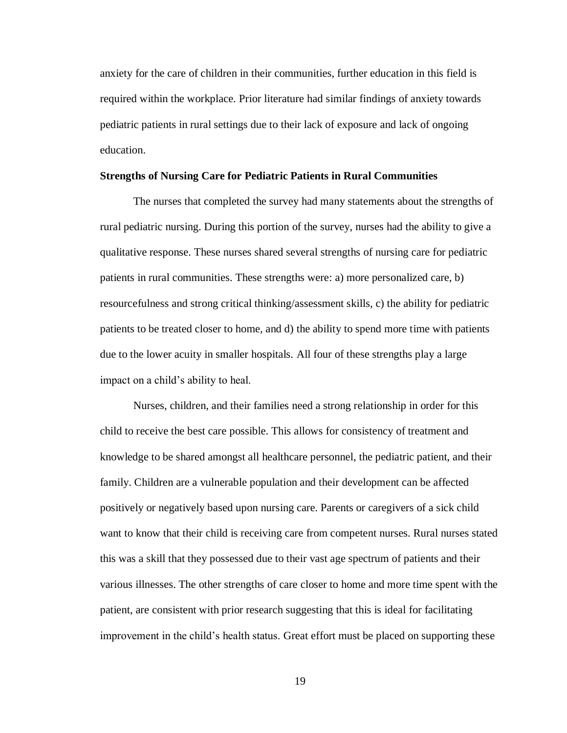anxiety for the care of children in their communities, further education in this field is required within the workplace. Prior literature had similar findings of anxiety towards pediatric patients in rural settings due to their lack of exposure and lack of ongoing education.

#### **Strengths of Nursing Care for Pediatric Patients in Rural Communities**

The nurses that completed the survey had many statements about the strengths of rural pediatric nursing. During this portion of the survey, nurses had the ability to give a qualitative response. These nurses shared several strengths of nursing care for pediatric patients in rural communities. These strengths were: a) more personalized care, b) resourcefulness and strong critical thinking/assessment skills, c) the ability for pediatric patients to be treated closer to home, and d) the ability to spend more time with patients due to the lower acuity in smaller hospitals. All four of these strengths play a large impact on a child's ability to heal.

Nurses, children, and their families need a strong relationship in order for this child to receive the best care possible. This allows for consistency of treatment and knowledge to be shared amongst all healthcare personnel, the pediatric patient, and their family. Children are a vulnerable population and their development can be affected positively or negatively based upon nursing care. Parents or caregivers of a sick child want to know that their child is receiving care from competent nurses. Rural nurses stated this was a skill that they possessed due to their vast age spectrum of patients and their various illnesses. The other strengths of care closer to home and more time spent with the patient, are consistent with prior research suggesting that this is ideal for facilitating improvement in the child's health status. Great effort must be placed on supporting these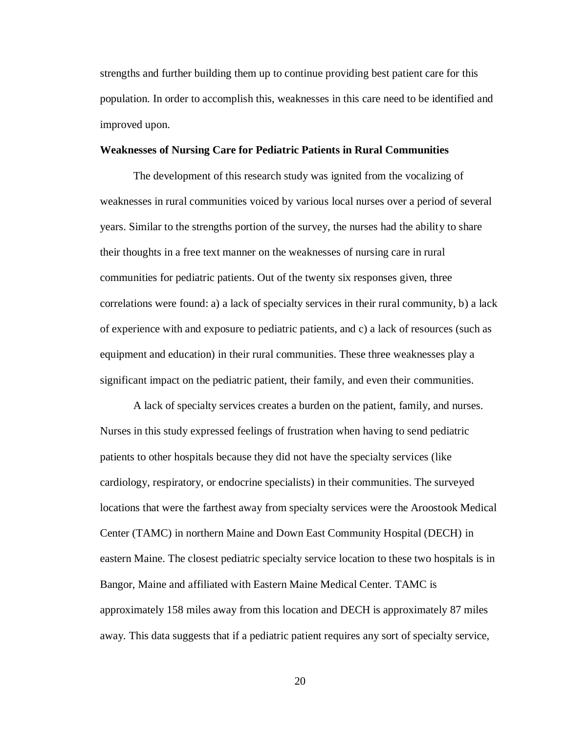strengths and further building them up to continue providing best patient care for this population. In order to accomplish this, weaknesses in this care need to be identified and improved upon.

#### **Weaknesses of Nursing Care for Pediatric Patients in Rural Communities**

The development of this research study was ignited from the vocalizing of weaknesses in rural communities voiced by various local nurses over a period of several years. Similar to the strengths portion of the survey, the nurses had the ability to share their thoughts in a free text manner on the weaknesses of nursing care in rural communities for pediatric patients. Out of the twenty six responses given, three correlations were found: a) a lack of specialty services in their rural community, b) a lack of experience with and exposure to pediatric patients, and c) a lack of resources (such as equipment and education) in their rural communities. These three weaknesses play a significant impact on the pediatric patient, their family, and even their communities.

A lack of specialty services creates a burden on the patient, family, and nurses. Nurses in this study expressed feelings of frustration when having to send pediatric patients to other hospitals because they did not have the specialty services (like cardiology, respiratory, or endocrine specialists) in their communities. The surveyed locations that were the farthest away from specialty services were the Aroostook Medical Center (TAMC) in northern Maine and Down East Community Hospital (DECH) in eastern Maine. The closest pediatric specialty service location to these two hospitals is in Bangor, Maine and affiliated with Eastern Maine Medical Center. TAMC is approximately 158 miles away from this location and DECH is approximately 87 miles away. This data suggests that if a pediatric patient requires any sort of specialty service,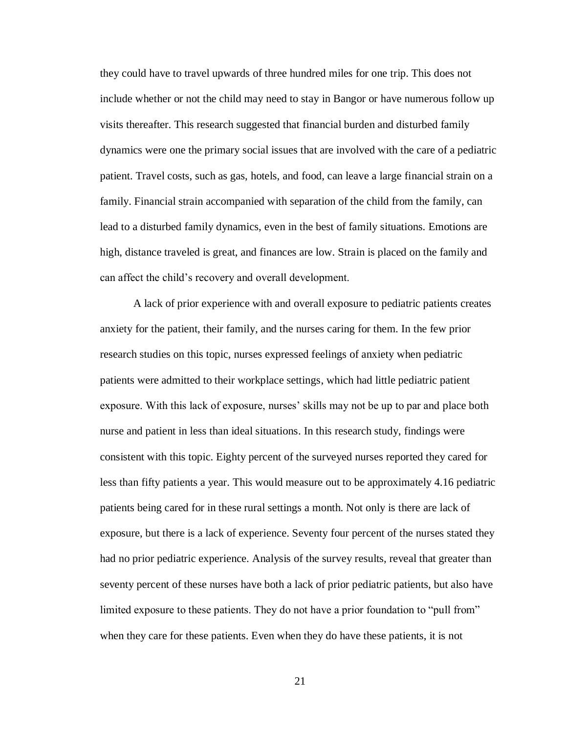they could have to travel upwards of three hundred miles for one trip. This does not include whether or not the child may need to stay in Bangor or have numerous follow up visits thereafter. This research suggested that financial burden and disturbed family dynamics were one the primary social issues that are involved with the care of a pediatric patient. Travel costs, such as gas, hotels, and food, can leave a large financial strain on a family. Financial strain accompanied with separation of the child from the family, can lead to a disturbed family dynamics, even in the best of family situations. Emotions are high, distance traveled is great, and finances are low. Strain is placed on the family and can affect the child's recovery and overall development.

A lack of prior experience with and overall exposure to pediatric patients creates anxiety for the patient, their family, and the nurses caring for them. In the few prior research studies on this topic, nurses expressed feelings of anxiety when pediatric patients were admitted to their workplace settings, which had little pediatric patient exposure. With this lack of exposure, nurses' skills may not be up to par and place both nurse and patient in less than ideal situations. In this research study, findings were consistent with this topic. Eighty percent of the surveyed nurses reported they cared for less than fifty patients a year. This would measure out to be approximately 4.16 pediatric patients being cared for in these rural settings a month. Not only is there are lack of exposure, but there is a lack of experience. Seventy four percent of the nurses stated they had no prior pediatric experience. Analysis of the survey results, reveal that greater than seventy percent of these nurses have both a lack of prior pediatric patients, but also have limited exposure to these patients. They do not have a prior foundation to "pull from" when they care for these patients. Even when they do have these patients, it is not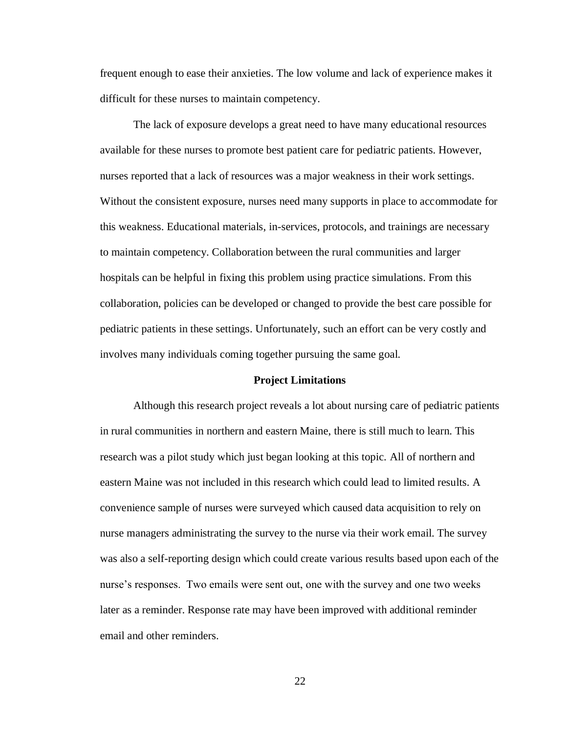frequent enough to ease their anxieties. The low volume and lack of experience makes it difficult for these nurses to maintain competency.

The lack of exposure develops a great need to have many educational resources available for these nurses to promote best patient care for pediatric patients. However, nurses reported that a lack of resources was a major weakness in their work settings. Without the consistent exposure, nurses need many supports in place to accommodate for this weakness. Educational materials, in-services, protocols, and trainings are necessary to maintain competency. Collaboration between the rural communities and larger hospitals can be helpful in fixing this problem using practice simulations. From this collaboration, policies can be developed or changed to provide the best care possible for pediatric patients in these settings. Unfortunately, such an effort can be very costly and involves many individuals coming together pursuing the same goal.

#### **Project Limitations**

Although this research project reveals a lot about nursing care of pediatric patients in rural communities in northern and eastern Maine, there is still much to learn. This research was a pilot study which just began looking at this topic. All of northern and eastern Maine was not included in this research which could lead to limited results. A convenience sample of nurses were surveyed which caused data acquisition to rely on nurse managers administrating the survey to the nurse via their work email. The survey was also a self-reporting design which could create various results based upon each of the nurse's responses. Two emails were sent out, one with the survey and one two weeks later as a reminder. Response rate may have been improved with additional reminder email and other reminders.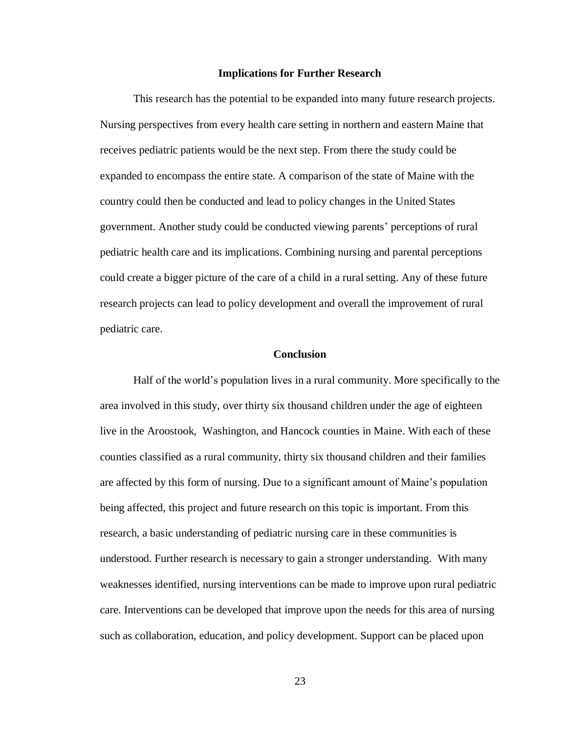#### **Implications for Further Research**

This research has the potential to be expanded into many future research projects. Nursing perspectives from every health care setting in northern and eastern Maine that receives pediatric patients would be the next step. From there the study could be expanded to encompass the entire state. A comparison of the state of Maine with the country could then be conducted and lead to policy changes in the United States government. Another study could be conducted viewing parents' perceptions of rural pediatric health care and its implications. Combining nursing and parental perceptions could create a bigger picture of the care of a child in a rural setting. Any of these future research projects can lead to policy development and overall the improvement of rural pediatric care.

#### **Conclusion**

Half of the world's population lives in a rural community. More specifically to the area involved in this study, over thirty six thousand children under the age of eighteen live in the Aroostook, Washington, and Hancock counties in Maine. With each of these counties classified as a rural community, thirty six thousand children and their families are affected by this form of nursing. Due to a significant amount of Maine's population being affected, this project and future research on this topic is important. From this research, a basic understanding of pediatric nursing care in these communities is understood. Further research is necessary to gain a stronger understanding. With many weaknesses identified, nursing interventions can be made to improve upon rural pediatric care. Interventions can be developed that improve upon the needs for this area of nursing such as collaboration, education, and policy development. Support can be placed upon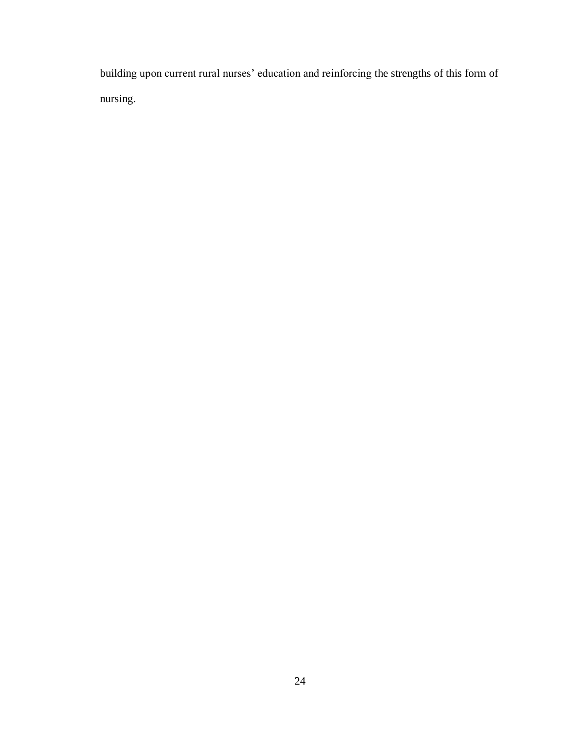building upon current rural nurses' education and reinforcing the strengths of this form of nursing.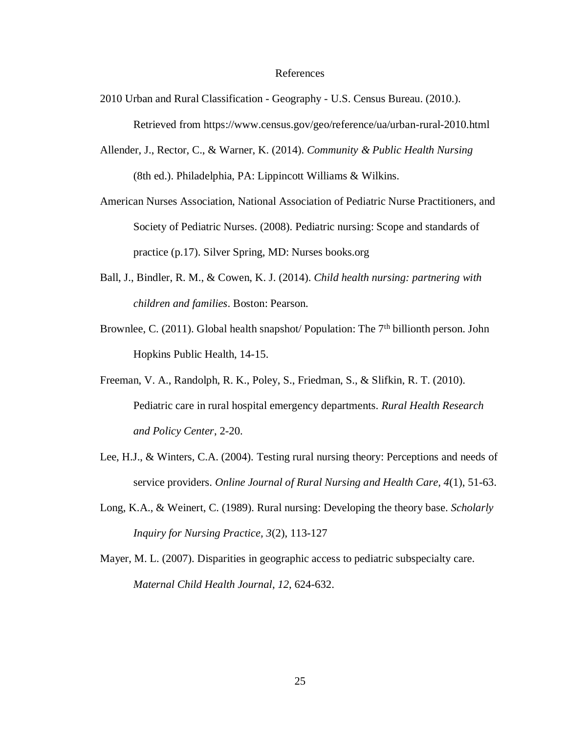#### References

- 2010 Urban and Rural Classification Geography U.S. Census Bureau. (2010.). Retrieved from https://www.census.gov/geo/reference/ua/urban-rural-2010.html
- Allender, J., Rector, C., & Warner, K. (2014). *Community & Public Health Nursing* (8th ed.). Philadelphia, PA: Lippincott Williams & Wilkins.
- American Nurses Association, National Association of Pediatric Nurse Practitioners, and Society of Pediatric Nurses. (2008). Pediatric nursing: Scope and standards of practice (p.17). Silver Spring, MD: Nurses books.org
- Ball, J., Bindler, R. M., & Cowen, K. J. (2014). *Child health nursing: partnering with children and families*. Boston: Pearson.
- Brownlee, C. (2011). Global health snapshot/ Population: The  $7<sup>th</sup>$  billionth person. John Hopkins Public Health, 14-15.
- Freeman, V. A., Randolph, R. K., Poley, S., Friedman, S., & Slifkin, R. T. (2010). Pediatric care in rural hospital emergency departments. *Rural Health Research and Policy Center*, 2-20.
- Lee, H.J., & Winters, C.A. (2004). Testing rural nursing theory: Perceptions and needs of service providers. *Online Journal of Rural Nursing and Health Care, 4*(1), 51-63.
- Long, K.A., & Weinert, C. (1989). Rural nursing: Developing the theory base. *Scholarly Inquiry for Nursing Practice, 3*(2), 113-127
- Mayer, M. L. (2007). Disparities in geographic access to pediatric subspecialty care. *Maternal Child Health Journal*, *12*, 624-632.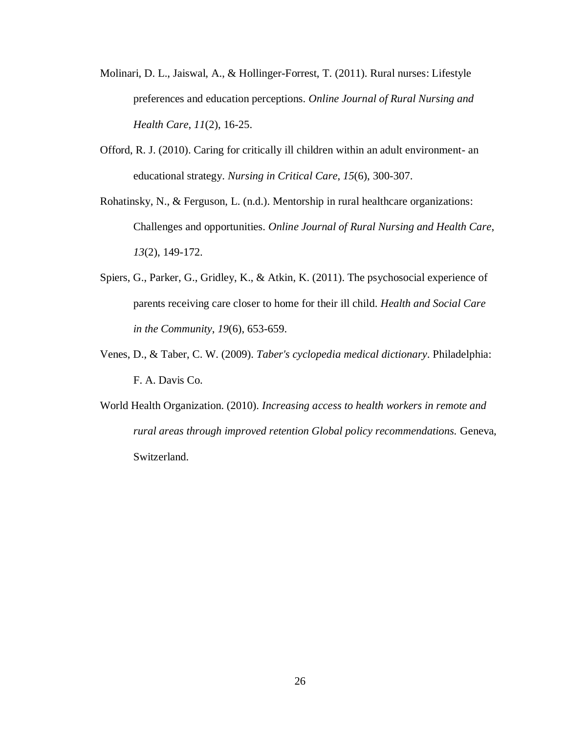- Molinari, D. L., Jaiswal, A., & Hollinger-Forrest, T. (2011). Rural nurses: Lifestyle preferences and education perceptions. *Online Journal of Rural Nursing and Health Care*, *11*(2), 16-25.
- Offord, R. J. (2010). Caring for critically ill children within an adult environment- an educational strategy. *Nursing in Critical Care*, *15*(6), 300-307.
- Rohatinsky, N., & Ferguson, L. (n.d.). Mentorship in rural healthcare organizations: Challenges and opportunities. *Online Journal of Rural Nursing and Health Care*, *13*(2), 149-172.
- Spiers, G., Parker, G., Gridley, K., & Atkin, K. (2011). The psychosocial experience of parents receiving care closer to home for their ill child. *Health and Social Care in the Community*, *19*(6), 653-659.
- Venes, D., & Taber, C. W. (2009). *Taber's cyclopedia medical dictionary*. Philadelphia: F. A. Davis Co.
- World Health Organization. (2010). *Increasing access to health workers in remote and rural areas through improved retention Global policy recommendations.* Geneva, Switzerland.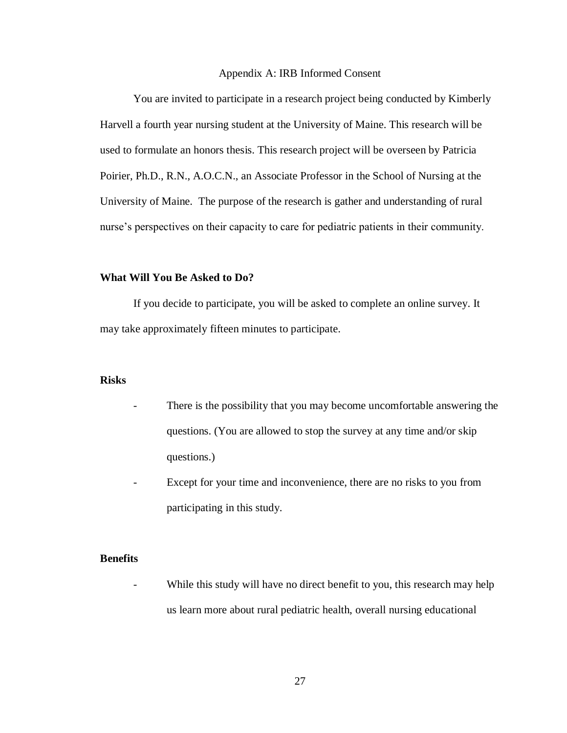#### Appendix A: IRB Informed Consent

You are invited to participate in a research project being conducted by Kimberly Harvell a fourth year nursing student at the University of Maine. This research will be used to formulate an honors thesis. This research project will be overseen by Patricia Poirier, Ph.D., R.N., A.O.C.N., an Associate Professor in the School of Nursing at the University of Maine. The purpose of the research is gather and understanding of rural nurse's perspectives on their capacity to care for pediatric patients in their community.

#### **What Will You Be Asked to Do?**

If you decide to participate, you will be asked to complete an online survey. It may take approximately fifteen minutes to participate.

#### **Risks**

- There is the possibility that you may become uncomfortable answering the questions. (You are allowed to stop the survey at any time and/or skip questions.)
- Except for your time and inconvenience, there are no risks to you from participating in this study.

## **Benefits**

While this study will have no direct benefit to you, this research may help us learn more about rural pediatric health, overall nursing educational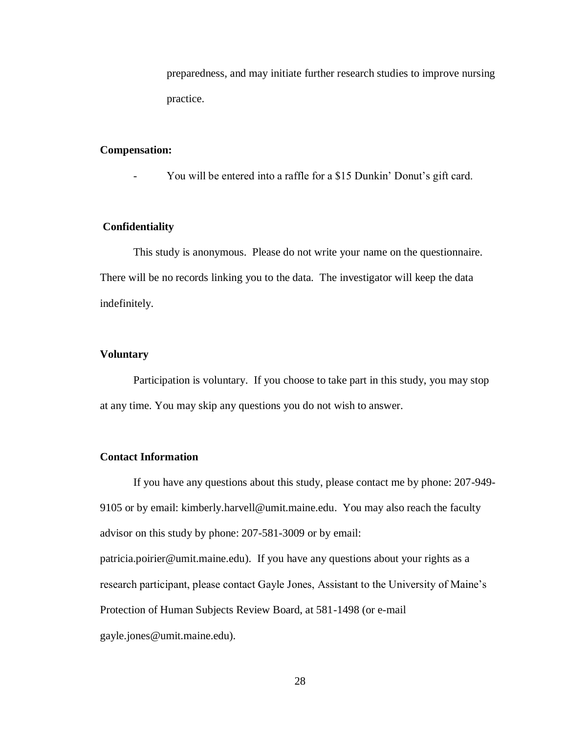preparedness, and may initiate further research studies to improve nursing practice.

## **Compensation:**

You will be entered into a raffle for a \$15 Dunkin' Donut's gift card.

## **Confidentiality**

This study is anonymous. Please do not write your name on the questionnaire. There will be no records linking you to the data. The investigator will keep the data indefinitely.

## **Voluntary**

Participation is voluntary. If you choose to take part in this study, you may stop at any time. You may skip any questions you do not wish to answer.

## **Contact Information**

If you have any questions about this study, please contact me by phone: 207-949- 9105 or by email: kimberly.harvell@umit.maine.edu. You may also reach the faculty advisor on this study by phone: 207-581-3009 or by email: patricia.poirier@umit.maine.edu). If you have any questions about your rights as a research participant, please contact Gayle Jones, Assistant to the University of Maine's Protection of Human Subjects Review Board, at 581-1498 (or e-mail gayle.jones@umit.maine.edu).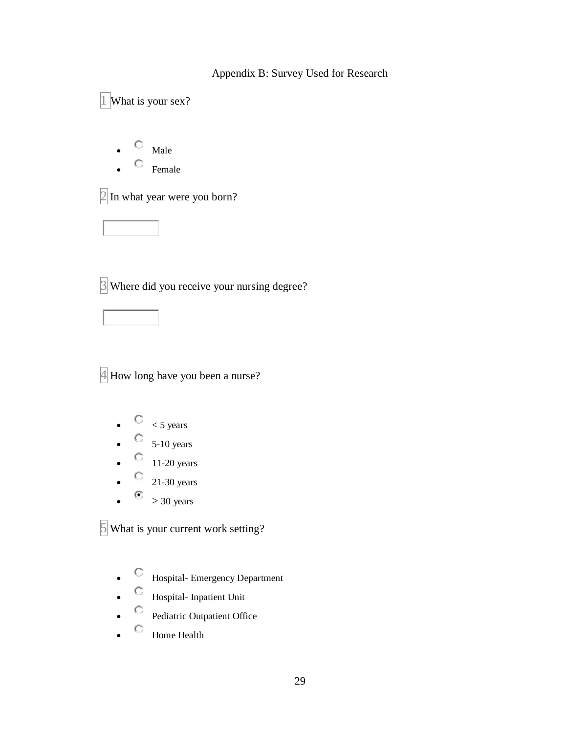## Appendix B: Survey Used for Research

1 What is your sex?  $\begin{array}{cc} \n\mathbb{C} & \mathbb{M} \n\end{array}$  Male  $\qquad \qquad \Box$  Female  $2$  In what year were you born?  $3$  Where did you receive your nursing degree?

4 How long have you been a nurse?

- $\bullet$   $\circ$   $\circ$  5 years
- $\bullet$  5-10 years
- $\bullet$  11-20 years
- $\degree$  21-30 years
- $\bullet$  > 30 years

 $5$  What is your current work setting?

- C Hospital- Emergency Department
- Hospital- Inpatient Unit
- <sup>©</sup> Pediatric Outpatient Office
- $\qquad$  Home Health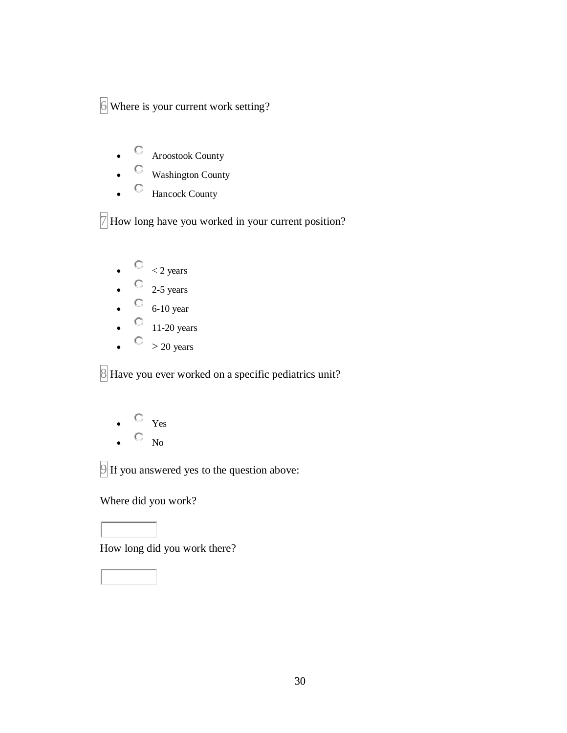6 Where is your current work setting?

- C Aroostook County
- Washington County
- G Hancock County

 $\sqrt{7}$  How long have you worked in your current position?

- $\bullet$   $\qquad$   $\circ$   $\qquad$   $\circ$   $\qquad$   $\circ$   $\qquad$   $\circ$   $\qquad$   $\circ$   $\qquad$   $\circ$   $\qquad$   $\circ$   $\qquad$   $\circ$   $\qquad$   $\circ$   $\qquad$   $\circ$   $\qquad$   $\circ$   $\qquad$   $\circ$   $\qquad$   $\circ$   $\qquad$   $\circ$   $\qquad$   $\circ$   $\qquad$   $\circ$   $\qquad$   $\circ$   $\qquad$   $\circ$   $\qquad$   $\circ$   $\qquad$
- $\bullet$  2-5 years
- $\circ$  6-10 year
- $\bigcirc$  11-20 years
- $\bigcirc$  > 20 years

8 Have you ever worked on a specific pediatrics unit?

- $\circ$   $_{Yes}$
- $\hfill\ensuremath{\mathbb{O}}\xspace$  –No

9 If you answered yes to the question above:

Where did you work?

How long did you work there?

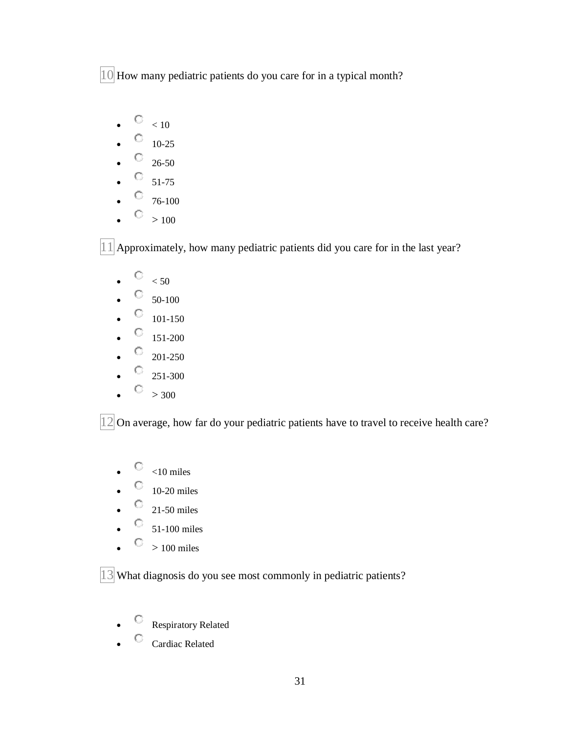10 How many pediatric patients do you care for in a typical month?

- $\circ$   $< 10$
- $\bullet$  0  $10-25$
- $\circ$  26-50
- $\bullet$  51-75
- $\degree$  76-100
- $\circ$  > 100

 $|11|$  Approximately, how many pediatric patients did you care for in the last year?

- $\begin{array}{cc} \heartsuit < 50 \end{array}$
- $\bullet$   $\circ$  50-100
- $\bullet$   $\qquad \qquad 101-150$
- $\circ$  151-200
- $\circ$  201-250
- $\circ$  251-300
- $\circ$  > 300

12 On average, how far do your pediatric patients have to travel to receive health care?

- $\bigcirc$   $\bigcirc$   $\bigcirc$  10 miles
- $\bullet$  10-20 miles
- $\bullet$  21-50 miles
- $\circ$  51-100 miles
- $\bigcirc$  > 100 miles

13 What diagnosis do you see most commonly in pediatric patients?

- Respiratory Related
- $\degree$  Cardiac Related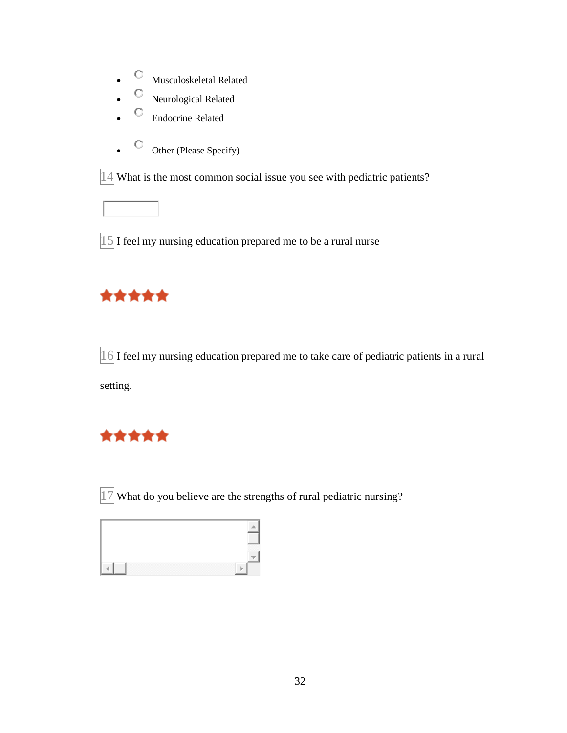- $\bullet$  Musculoskeletal Related
- C Neurological Related
- C Endocrine Related
- $\bullet$  Other (Please Specify)

14 What is the most common social issue you see with pediatric patients?

 $15$  I feel my nursing education prepared me to be a rural nurse

# \*\*\*\*\*

16 I feel my nursing education prepared me to take care of pediatric patients in a rural setting.

# \*\*\*\*\*

 $\boxed{17}$  What do you believe are the strengths of rural pediatric nursing?

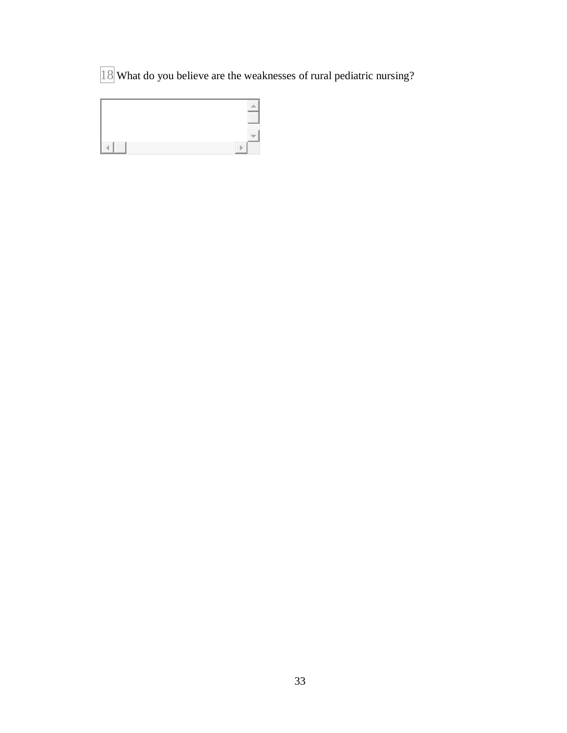What do you believe are the weaknesses of rural pediatric nursing?